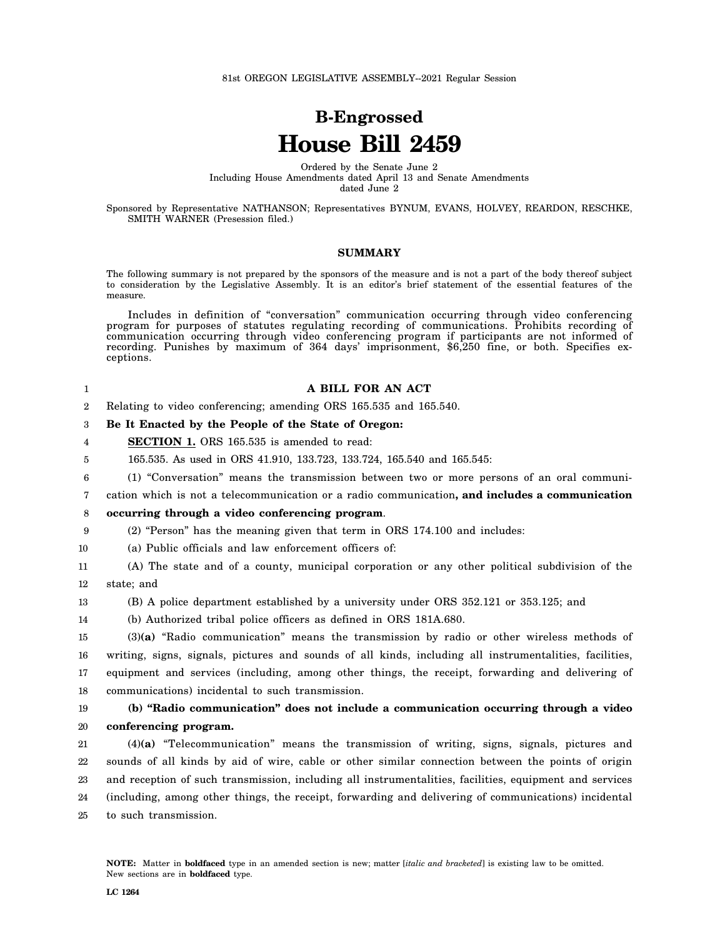## **B-Engrossed House Bill 2459**

Ordered by the Senate June 2 Including House Amendments dated April 13 and Senate Amendments dated June 2

Sponsored by Representative NATHANSON; Representatives BYNUM, EVANS, HOLVEY, REARDON, RESCHKE, SMITH WARNER (Presession filed.)

## **SUMMARY**

The following summary is not prepared by the sponsors of the measure and is not a part of the body thereof subject to consideration by the Legislative Assembly. It is an editor's brief statement of the essential features of the measure.

Includes in definition of "conversation" communication occurring through video conferencing program for purposes of statutes regulating recording of communications. Prohibits recording of communication occurring through video conferencing program if participants are not informed of recording. Punishes by maximum of 364 days' imprisonment, \$6,250 fine, or both. Specifies exceptions.

| $\mathbf{1}$     | A BILL FOR AN ACT                                                                                       |
|------------------|---------------------------------------------------------------------------------------------------------|
| $\boldsymbol{2}$ | Relating to video conferencing; amending ORS 165.535 and 165.540.                                       |
| 3                | Be It Enacted by the People of the State of Oregon:                                                     |
| 4                | SECTION 1. ORS 165.535 is amended to read:                                                              |
| 5                | 165,535. As used in ORS 41.910, 133.723, 133.724, 165.540 and 165.545:                                  |
| 6                | (1) "Conversation" means the transmission between two or more persons of an oral communi-               |
| 7                | cation which is not a telecommunication or a radio communication, and includes a communication          |
| 8                | occurring through a video conferencing program.                                                         |
| 9                | (2) "Person" has the meaning given that term in ORS 174.100 and includes:                               |
| 10               | (a) Public officials and law enforcement officers of:                                                   |
| 11               | (A) The state and of a county, municipal corporation or any other political subdivision of the          |
| 12               | state; and                                                                                              |
| 13               | (B) A police department established by a university under ORS 352.121 or 353.125; and                   |
| 14               | (b) Authorized tribal police officers as defined in ORS 181A.680.                                       |
| 15               | $(3)(a)$ "Radio communication" means the transmission by radio or other wireless methods of             |
| 16               | writing, signs, signals, pictures and sounds of all kinds, including all instrumentalities, facilities, |
| 17               | equipment and services (including, among other things, the receipt, forwarding and delivering of        |
| 18               | communications) incidental to such transmission.                                                        |
| 19               | (b) "Radio communication" does not include a communication occurring through a video                    |
| 20               | conferencing program.                                                                                   |
| 21               | $(4)(a)$ "Telecommunication" means the transmission of writing, signs, signals, pictures and            |
| 22               | sounds of all kinds by aid of wire, cable or other similar connection between the points of origin      |
| 23               | and reception of such transmission, including all instrumentalities, facilities, equipment and services |
| 24               | (including, among other things, the receipt, forwarding and delivering of communications) incidental    |
| 25               | to such transmission.                                                                                   |
|                  |                                                                                                         |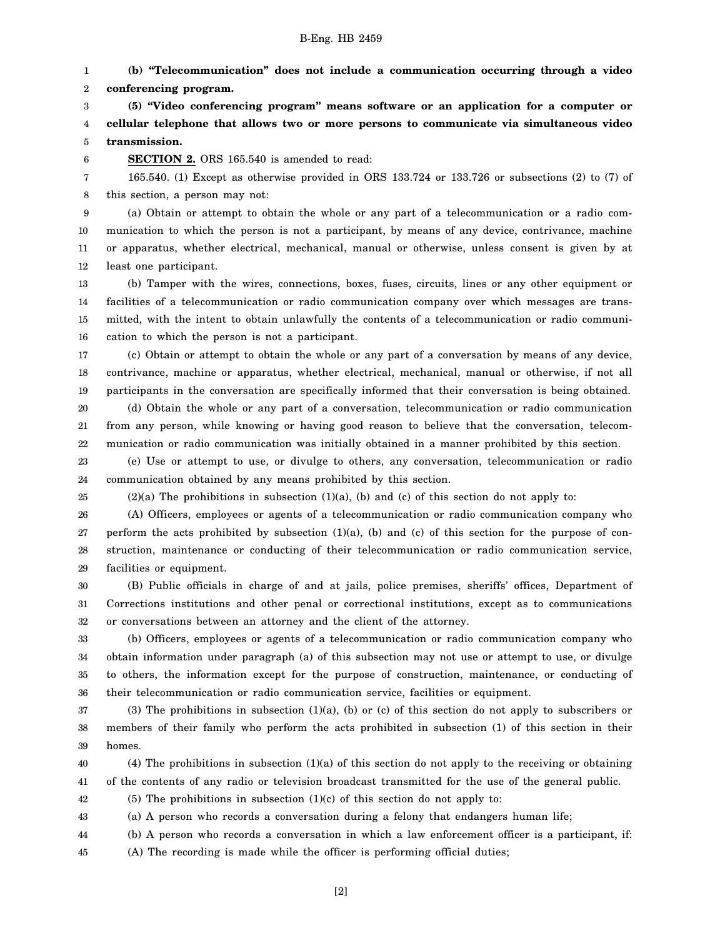- B-Eng. HB 2459
- 1 2 **(b) "Telecommunication" does not include a communication occurring through a video conferencing program.**

3 4 5 **(5) "Video conferencing program" means software or an application for a computer or cellular telephone that allows two or more persons to communicate via simultaneous video transmission.**

**SECTION 2.** ORS 165.540 is amended to read:

7 8 165.540. (1) Except as otherwise provided in ORS 133.724 or 133.726 or subsections (2) to (7) of this section, a person may not:

9 10 11 12 (a) Obtain or attempt to obtain the whole or any part of a telecommunication or a radio communication to which the person is not a participant, by means of any device, contrivance, machine or apparatus, whether electrical, mechanical, manual or otherwise, unless consent is given by at least one participant.

13 14 15 16 (b) Tamper with the wires, connections, boxes, fuses, circuits, lines or any other equipment or facilities of a telecommunication or radio communication company over which messages are transmitted, with the intent to obtain unlawfully the contents of a telecommunication or radio communication to which the person is not a participant.

17 18 19 (c) Obtain or attempt to obtain the whole or any part of a conversation by means of any device, contrivance, machine or apparatus, whether electrical, mechanical, manual or otherwise, if not all participants in the conversation are specifically informed that their conversation is being obtained.

20 21 22 (d) Obtain the whole or any part of a conversation, telecommunication or radio communication from any person, while knowing or having good reason to believe that the conversation, telecommunication or radio communication was initially obtained in a manner prohibited by this section.

23 24 (e) Use or attempt to use, or divulge to others, any conversation, telecommunication or radio communication obtained by any means prohibited by this section.

25

6

 $(2)(a)$  The prohibitions in subsection  $(1)(a)$ ,  $(b)$  and  $(c)$  of this section do not apply to:

26 27 28 29 (A) Officers, employees or agents of a telecommunication or radio communication company who perform the acts prohibited by subsection  $(1)(a)$ ,  $(b)$  and  $(c)$  of this section for the purpose of construction, maintenance or conducting of their telecommunication or radio communication service, facilities or equipment.

30 31 32 (B) Public officials in charge of and at jails, police premises, sheriffs' offices, Department of Corrections institutions and other penal or correctional institutions, except as to communications or conversations between an attorney and the client of the attorney.

33 34 35 36 (b) Officers, employees or agents of a telecommunication or radio communication company who obtain information under paragraph (a) of this subsection may not use or attempt to use, or divulge to others, the information except for the purpose of construction, maintenance, or conducting of their telecommunication or radio communication service, facilities or equipment.

37 38 39 (3) The prohibitions in subsection (1)(a), (b) or (c) of this section do not apply to subscribers or members of their family who perform the acts prohibited in subsection (1) of this section in their homes.

40 41 (4) The prohibitions in subsection (1)(a) of this section do not apply to the receiving or obtaining of the contents of any radio or television broadcast transmitted for the use of the general public.

42 (5) The prohibitions in subsection  $(1)(c)$  of this section do not apply to:

43 (a) A person who records a conversation during a felony that endangers human life;

44 (b) A person who records a conversation in which a law enforcement officer is a participant, if:

45 (A) The recording is made while the officer is performing official duties;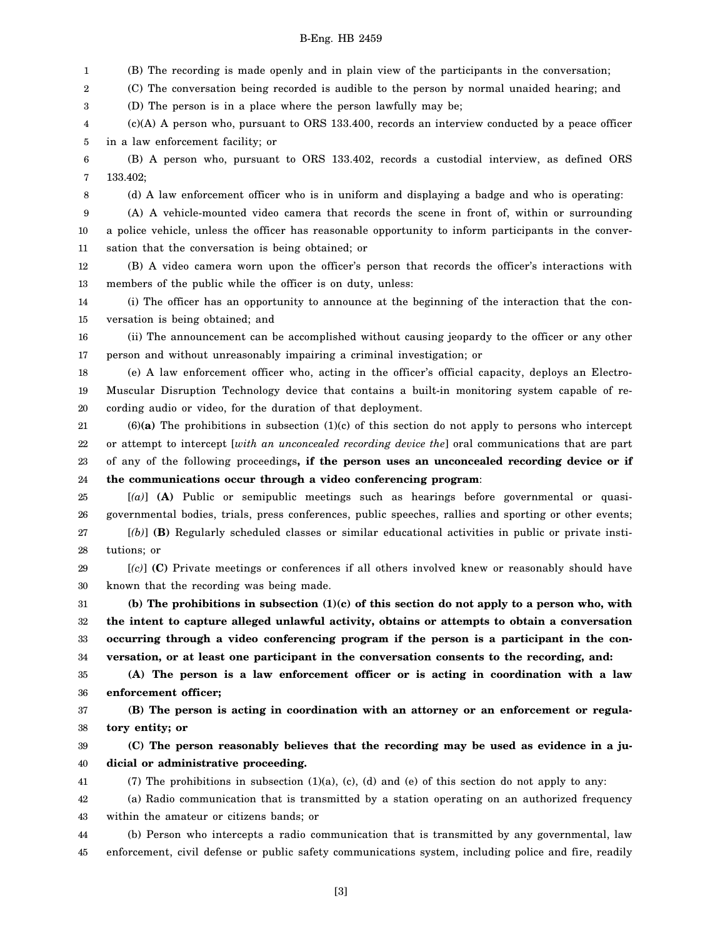## B-Eng. HB 2459

1 2 3 4 5 6 7 8 9 10 11 12 13 14 15 16 17 18 19 20 21 22 23 24 25 26 27 28 29 30 31 32 33 34 35 36 37 38 39 40 41 42 43 (B) The recording is made openly and in plain view of the participants in the conversation; (C) The conversation being recorded is audible to the person by normal unaided hearing; and (D) The person is in a place where the person lawfully may be; (c)(A) A person who, pursuant to ORS 133.400, records an interview conducted by a peace officer in a law enforcement facility; or (B) A person who, pursuant to ORS 133.402, records a custodial interview, as defined ORS 133.402; (d) A law enforcement officer who is in uniform and displaying a badge and who is operating: (A) A vehicle-mounted video camera that records the scene in front of, within or surrounding a police vehicle, unless the officer has reasonable opportunity to inform participants in the conversation that the conversation is being obtained; or (B) A video camera worn upon the officer's person that records the officer's interactions with members of the public while the officer is on duty, unless: (i) The officer has an opportunity to announce at the beginning of the interaction that the conversation is being obtained; and (ii) The announcement can be accomplished without causing jeopardy to the officer or any other person and without unreasonably impairing a criminal investigation; or (e) A law enforcement officer who, acting in the officer's official capacity, deploys an Electro-Muscular Disruption Technology device that contains a built-in monitoring system capable of recording audio or video, for the duration of that deployment. (6)**(a)** The prohibitions in subsection (1)(c) of this section do not apply to persons who intercept or attempt to intercept [*with an unconcealed recording device the*] oral communications that are part of any of the following proceedings**, if the person uses an unconcealed recording device or if the communications occur through a video conferencing program**: [*(a)*] **(A)** Public or semipublic meetings such as hearings before governmental or quasigovernmental bodies, trials, press conferences, public speeches, rallies and sporting or other events; [*(b)*] **(B)** Regularly scheduled classes or similar educational activities in public or private institutions; or [*(c)*] **(C)** Private meetings or conferences if all others involved knew or reasonably should have known that the recording was being made. **(b) The prohibitions in subsection (1)(c) of this section do not apply to a person who, with the intent to capture alleged unlawful activity, obtains or attempts to obtain a conversation occurring through a video conferencing program if the person is a participant in the conversation, or at least one participant in the conversation consents to the recording, and: (A) The person is a law enforcement officer or is acting in coordination with a law enforcement officer; (B) The person is acting in coordination with an attorney or an enforcement or regulatory entity; or (C) The person reasonably believes that the recording may be used as evidence in a judicial or administrative proceeding.** (7) The prohibitions in subsection  $(1)(a)$ ,  $(c)$ ,  $(d)$  and  $(e)$  of this section do not apply to any: (a) Radio communication that is transmitted by a station operating on an authorized frequency within the amateur or citizens bands; or

44 45 (b) Person who intercepts a radio communication that is transmitted by any governmental, law enforcement, civil defense or public safety communications system, including police and fire, readily